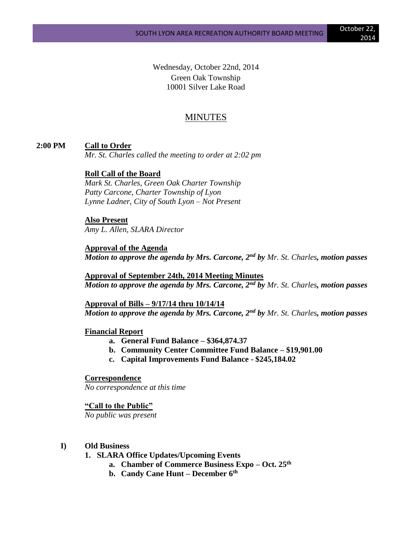Wednesday, October 22nd, 2014 Green Oak Township 10001 Silver Lake Road

# MINUTES

#### **2:00 PM Call to Order**

*Mr. St. Charles called the meeting to order at 2:02 pm*

#### **Roll Call of the Board**

*Mark St. Charles, Green Oak Charter Township Patty Carcone, Charter Township of Lyon Lynne Ladner, City of South Lyon – Not Present*

# **Also Present**

*Amy L. Allen, SLARA Director*

**Approval of the Agenda** *Motion to approve the agenda by Mrs. Carcone, 2nd by Mr. St. Charles, motion passes*

**Approval of September 24th, 2014 Meeting Minutes** *Motion to approve the agenda by Mrs. Carcone, 2nd by Mr. St. Charles, motion passes*

**Approval of Bills – 9/17/14 thru 10/14/14** *Motion to approve the agenda by Mrs. Carcone, 2nd by Mr. St. Charles, motion passes*

#### **Financial Report**

- **a. General Fund Balance – \$364,874.37**
- **b. Community Center Committee Fund Balance – \$19,901.00**
- **c. Capital Improvements Fund Balance - \$245,184.02**

#### **Correspondence**

*No correspondence at this time*

#### **"Call to the Public"**

*No public was present*

#### **I) Old Business**

- **1. SLARA Office Updates/Upcoming Events**
	- **a. Chamber of Commerce Business Expo – Oct. 25th**
		- **b. Candy Cane Hunt – December 6th**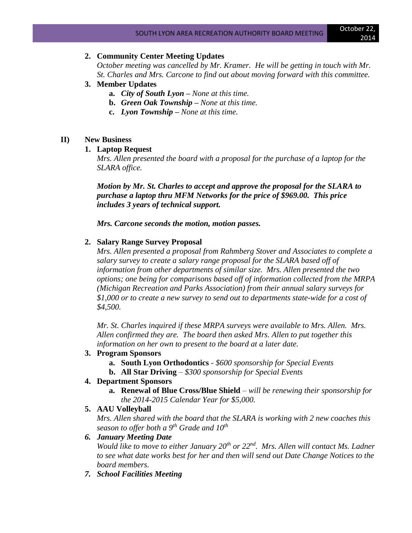# **2. Community Center Meeting Updates**

*October meeting was cancelled by Mr. Kramer. He will be getting in touch with Mr. St. Charles and Mrs. Carcone to find out about moving forward with this committee.*

#### **3. Member Updates**

- **a.** *City of South Lyon – None at this time.*
- **b.** *Green Oak Township – None at this time.*
- **c.** *Lyon Township – None at this time.*

## **II) New Business**

## **1. Laptop Request**

*Mrs. Allen presented the board with a proposal for the purchase of a laptop for the SLARA office.*

*Motion by Mr. St. Charles to accept and approve the proposal for the SLARA to purchase a laptop thru MFM Networks for the price of \$969.00. This price includes 3 years of technical support.*

*Mrs. Carcone seconds the motion, motion passes.*

## **2. Salary Range Survey Proposal**

*Mrs. Allen presented a proposal from Rahmberg Stover and Associates to complete a salary survey to create a salary range proposal for the SLARA based off of information from other departments of similar size. Mrs. Allen presented the two options; one being for comparisons based off of information collected from the MRPA (Michigan Recreation and Parks Association) from their annual salary surveys for \$1,000 or to create a new survey to send out to departments state-wide for a cost of \$4,500.* 

*Mr. St. Charles inquired if these MRPA surveys were available to Mrs. Allen. Mrs. Allen confirmed they are. The board then asked Mrs. Allen to put together this information on her own to present to the board at a later date.*

#### **3. Program Sponsors**

- **a. South Lyon Orthodontics** *- \$600 sponsorship for Special Events*
- **b. All Star Driving** *– \$300 sponsorship for Special Events*

#### **4. Department Sponsors**

- **a. Renewal of Blue Cross/Blue Shield** *– will be renewing their sponsorship for the 2014-2015 Calendar Year for \$5,000.*
- **5. AAU Volleyball**

*Mrs. Allen shared with the board that the SLARA is working with 2 new coaches this season to offer both a 9th Grade and 10th*

## *6. January Meeting Date*

*Would like to move to either January 20th or 22nd. Mrs. Allen will contact Ms. Ladner to see what date works best for her and then will send out Date Change Notices to the board members.*

*7. School Facilities Meeting*